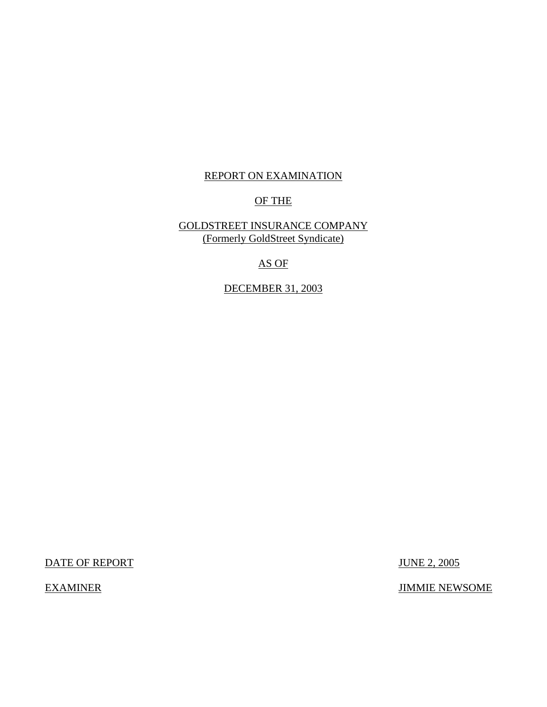## REPORT ON EXAMINATION

## OF THE

## GOLDSTREET INSURANCE COMPANY (Formerly GoldStreet Syndicate)

## AS OF

## DECEMBER 31, 2003

DATE OF REPORT JUNE 2, 2005

EXAMINER JIMMIE NEWSOME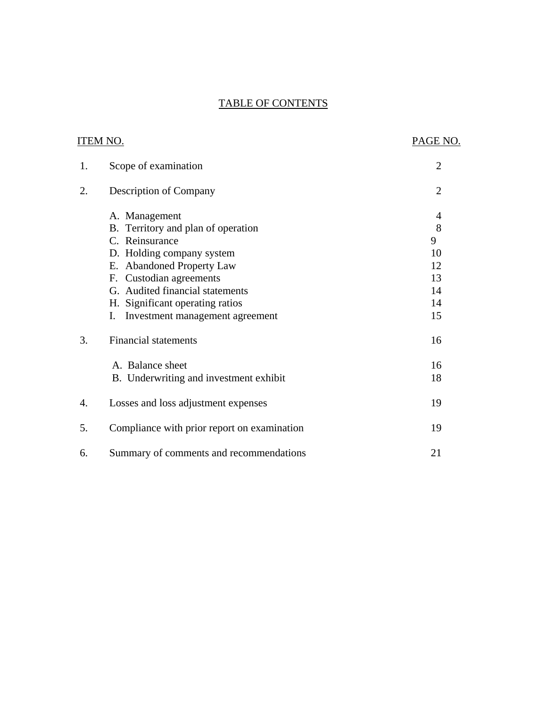## TABLE OF CONTENTS

|    | ITEM NO.                                    | PAGE NO.       |
|----|---------------------------------------------|----------------|
| 1. | Scope of examination                        | $\overline{2}$ |
| 2. | <b>Description of Company</b>               | $\overline{2}$ |
|    | A. Management                               | 4              |
|    | B. Territory and plan of operation          | 8              |
|    | C. Reinsurance                              | 9              |
|    | D. Holding company system                   | 10             |
|    | E. Abandoned Property Law                   | 12             |
|    | F. Custodian agreements                     | 13             |
|    | G. Audited financial statements             | 14             |
|    | H. Significant operating ratios             | 14             |
|    | Investment management agreement<br>Ι.       | 15             |
| 3. | <b>Financial statements</b>                 | 16             |
|    | A. Balance sheet                            | 16             |
|    | B. Underwriting and investment exhibit      | 18             |
| 4. | Losses and loss adjustment expenses         | 19             |
| 5. | Compliance with prior report on examination | 19             |
| 6. | Summary of comments and recommendations     | 21             |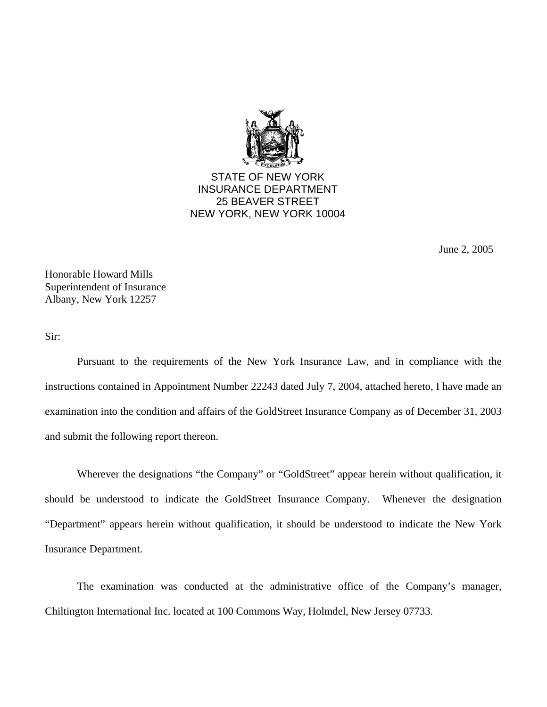

STATE OF NEW YORK INSURANCE DEPARTMENT 25 BEAVER STREET NEW YORK, NEW YORK 10004

June 2, 2005

Honorable Howard Mills Superintendent of Insurance Albany, New York 12257

Sir:

Pursuant to the requirements of the New York Insurance Law, and in compliance with the instructions contained in Appointment Number 22243 dated July 7, 2004, attached hereto, I have made an examination into the condition and affairs of the GoldStreet Insurance Company as of December 31, 2003 and submit the following report thereon.

Wherever the designations "the Company" or "GoldStreet" appear herein without qualification, it should be understood to indicate the GoldStreet Insurance Company. Whenever the designation "Department" appears herein without qualification, it should be understood to indicate the New York Insurance Department.

The examination was conducted at the administrative office of the Company's manager, Chiltington International Inc. located at 100 Commons Way, Holmdel, New Jersey 07733.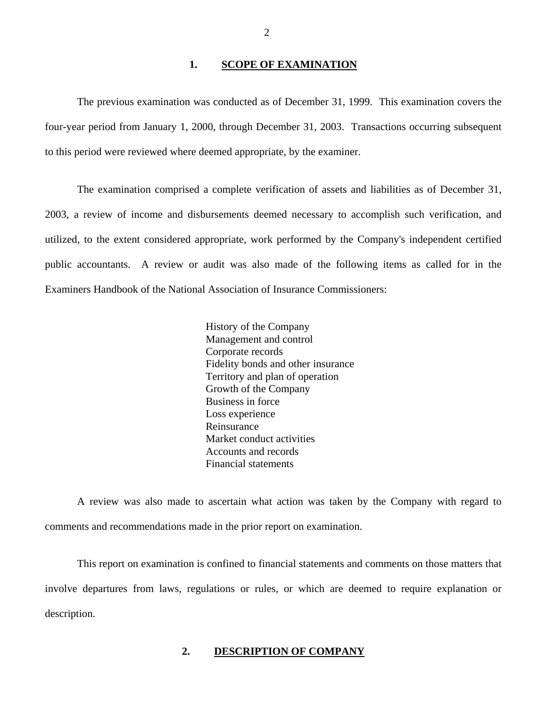### **1. SCOPE OF EXAMINATION**

<span id="page-3-0"></span>The previous examination was conducted as of December 31, 1999. This examination covers the four-year period from January 1, 2000, through December 31, 2003. Transactions occurring subsequent to this period were reviewed where deemed appropriate, by the examiner.

The examination comprised a complete verification of assets and liabilities as of December 31, 2003, a review of income and disbursements deemed necessary to accomplish such verification, and utilized, to the extent considered appropriate, work performed by the Company's independent certified public accountants. A review or audit was also made of the following items as called for in the Examiners Handbook of the National Association of Insurance Commissioners:

 Business in force History of the Company Management and control Corporate records Fidelity bonds and other insurance Territory and plan of operation Growth of the Company Loss experience Reinsurance Market conduct activities Accounts and records Financial statements

A review was also made to ascertain what action was taken by the Company with regard to comments and recommendations made in the prior report on examination.

This report on examination is confined to financial statements and comments on those matters that involve departures from laws, regulations or rules, or which are deemed to require explanation or description.

#### **2. DESCRIPTION OF COMPANY**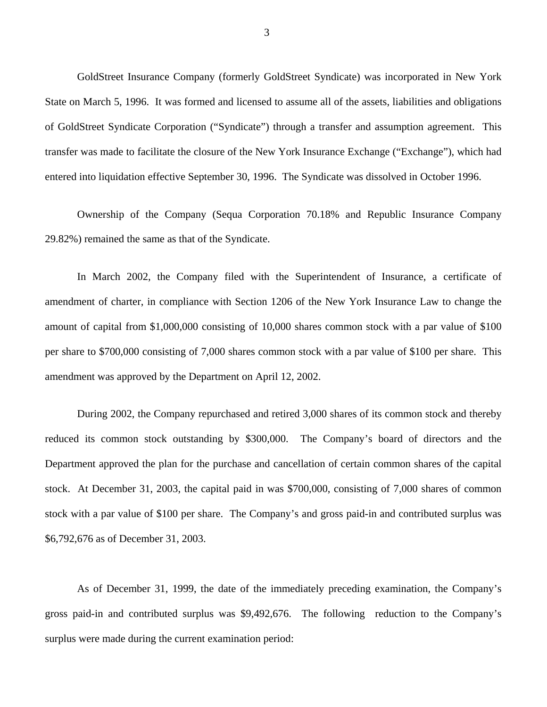GoldStreet Insurance Company (formerly GoldStreet Syndicate) was incorporated in New York State on March 5, 1996. It was formed and licensed to assume all of the assets, liabilities and obligations of GoldStreet Syndicate Corporation ("Syndicate") through a transfer and assumption agreement. This transfer was made to facilitate the closure of the New York Insurance Exchange ("Exchange"), which had entered into liquidation effective September 30, 1996. The Syndicate was dissolved in October 1996.

Ownership of the Company (Sequa Corporation 70.18% and Republic Insurance Company 29.82%) remained the same as that of the Syndicate.

In March 2002, the Company filed with the Superintendent of Insurance, a certificate of amendment of charter, in compliance with Section 1206 of the New York Insurance Law to change the amount of capital from \$1,000,000 consisting of 10,000 shares common stock with a par value of \$100 per share to \$700,000 consisting of 7,000 shares common stock with a par value of \$100 per share. This amendment was approved by the Department on April 12, 2002.

During 2002, the Company repurchased and retired 3,000 shares of its common stock and thereby reduced its common stock outstanding by \$300,000. The Company's board of directors and the Department approved the plan for the purchase and cancellation of certain common shares of the capital stock. At December 31, 2003, the capital paid in was \$700,000, consisting of 7,000 shares of common stock with a par value of \$100 per share. The Company's and gross paid-in and contributed surplus was \$6,792,676 as of December 31, 2003.

As of December 31, 1999, the date of the immediately preceding examination, the Company's gross paid-in and contributed surplus was \$9,492,676. The following reduction to the Company's surplus were made during the current examination period: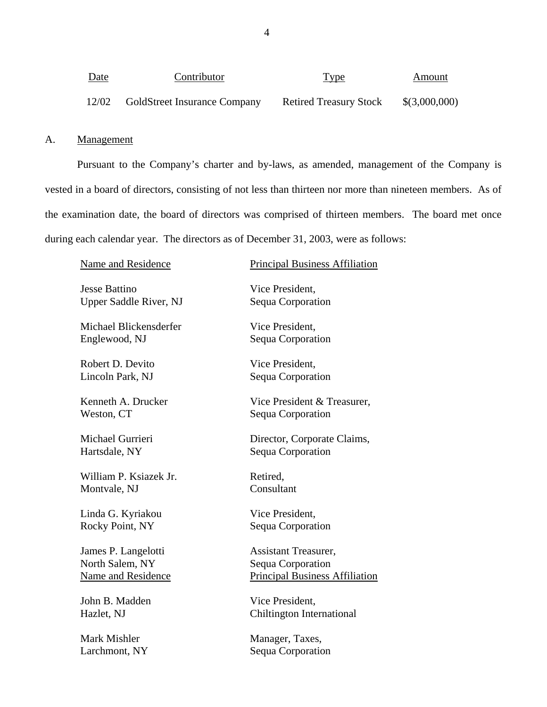<span id="page-5-0"></span>

| <u>Date</u> | Contributor                         | <b>Type</b>                   | Amount        |
|-------------|-------------------------------------|-------------------------------|---------------|
| 12/02       | <b>GoldStreet Insurance Company</b> | <b>Retired Treasury Stock</b> | \$(3,000,000) |

## A. Management

Pursuant to the Company's charter and by-laws, as amended, management of the Company is vested in a board of directors, consisting of not less than thirteen nor more than nineteen members. As of the examination date, the board of directors was comprised of thirteen members. The board met once during each calendar year. The directors as of December 31, 2003, were as follows:

| Name and Residence            | <b>Principal Business Affiliation</b> |
|-------------------------------|---------------------------------------|
| <b>Jesse Battino</b>          | Vice President,                       |
| <b>Upper Saddle River, NJ</b> | Sequa Corporation                     |
| Michael Blickensderfer        | Vice President,                       |
| Englewood, NJ                 | Sequa Corporation                     |
| Robert D. Devito              | Vice President,                       |
| Lincoln Park, NJ              | Sequa Corporation                     |
| Kenneth A. Drucker            | Vice President & Treasurer,           |
| Weston, CT                    | Sequa Corporation                     |
| Michael Gurrieri              | Director, Corporate Claims,           |
| Hartsdale, NY                 | Sequa Corporation                     |
| William P. Ksiazek Jr.        | Retired,                              |
| Montvale, NJ                  | Consultant                            |
| Linda G. Kyriakou             | Vice President,                       |
| Rocky Point, NY               | Sequa Corporation                     |
| James P. Langelotti           | <b>Assistant Treasurer,</b>           |
| North Salem, NY               | Sequa Corporation                     |
| Name and Residence            | <b>Principal Business Affiliation</b> |
| John B. Madden                | Vice President,                       |
| Hazlet, NJ                    | <b>Chiltington International</b>      |
|                               |                                       |

Mark Mishler Manager, Taxes, Larchmont, NY Sequa Corporation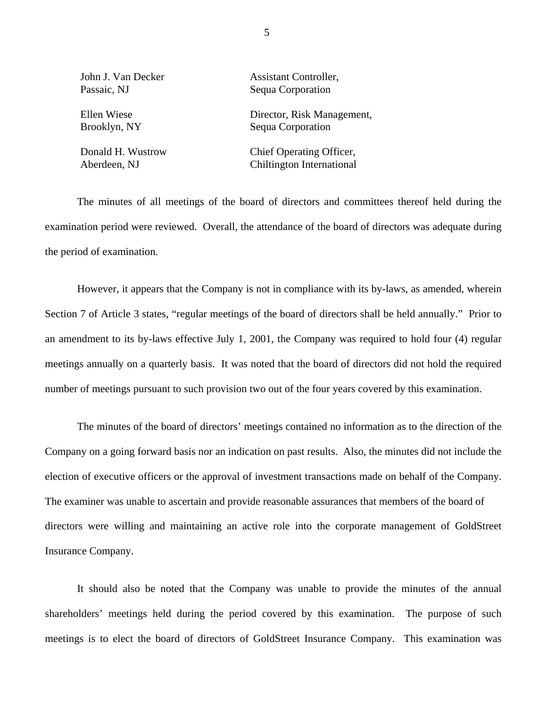| John J. Van Decker | Assistant Controller,      |
|--------------------|----------------------------|
| Passaic, NJ        | Sequa Corporation          |
| Ellen Wiese        | Director, Risk Management, |
| Brooklyn, NY       | Sequa Corporation          |
| Donald H. Wustrow  | Chief Operating Officer,   |

Aberdeen, NJ Chiltington International

The minutes of all meetings of the board of directors and committees thereof held during the examination period were reviewed. Overall, the attendance of the board of directors was adequate during the period of examination.

However, it appears that the Company is not in compliance with its by-laws, as amended, wherein Section 7 of Article 3 states, "regular meetings of the board of directors shall be held annually." Prior to an amendment to its by-laws effective July 1, 2001, the Company was required to hold four (4) regular meetings annually on a quarterly basis. It was noted that the board of directors did not hold the required number of meetings pursuant to such provision two out of the four years covered by this examination.

The minutes of the board of directors' meetings contained no information as to the direction of the Company on a going forward basis nor an indication on past results. Also, the minutes did not include the election of executive officers or the approval of investment transactions made on behalf of the Company. The examiner was unable to ascertain and provide reasonable assurances that members of the board of directors were willing and maintaining an active role into the corporate management of GoldStreet Insurance Company.

It should also be noted that the Company was unable to provide the minutes of the annual shareholders' meetings held during the period covered by this examination. The purpose of such meetings is to elect the board of directors of GoldStreet Insurance Company. This examination was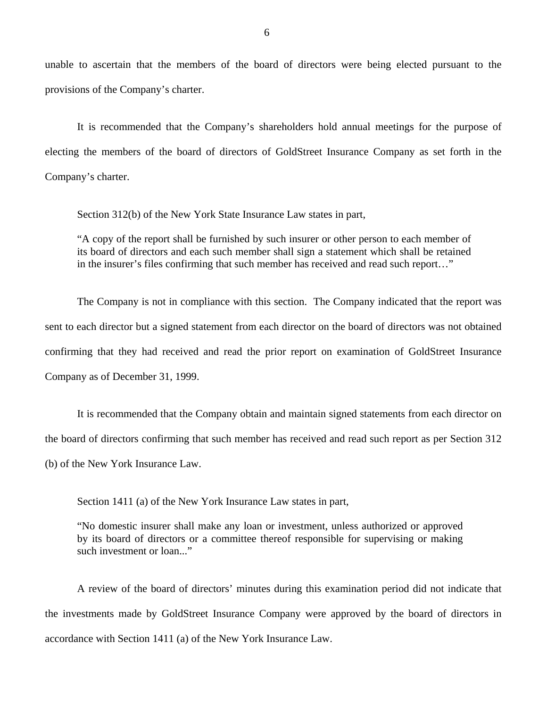unable to ascertain that the members of the board of directors were being elected pursuant to the provisions of the Company's charter.

It is recommended that the Company's shareholders hold annual meetings for the purpose of electing the members of the board of directors of GoldStreet Insurance Company as set forth in the Company's charter.

Section 312(b) of the New York State Insurance Law states in part,

"A copy of the report shall be furnished by such insurer or other person to each member of its board of directors and each such member shall sign a statement which shall be retained in the insurer's files confirming that such member has received and read such report…"

The Company is not in compliance with this section. The Company indicated that the report was sent to each director but a signed statement from each director on the board of directors was not obtained confirming that they had received and read the prior report on examination of GoldStreet Insurance Company as of December 31, 1999.

It is recommended that the Company obtain and maintain signed statements from each director on the board of directors confirming that such member has received and read such report as per Section 312 (b) of the New York Insurance Law.

Section 1411 (a) of the New York Insurance Law states in part,

"No domestic insurer shall make any loan or investment, unless authorized or approved by its board of directors or a committee thereof responsible for supervising or making such investment or loan..."

A review of the board of directors' minutes during this examination period did not indicate that the investments made by GoldStreet Insurance Company were approved by the board of directors in accordance with Section 1411 (a) of the New York Insurance Law.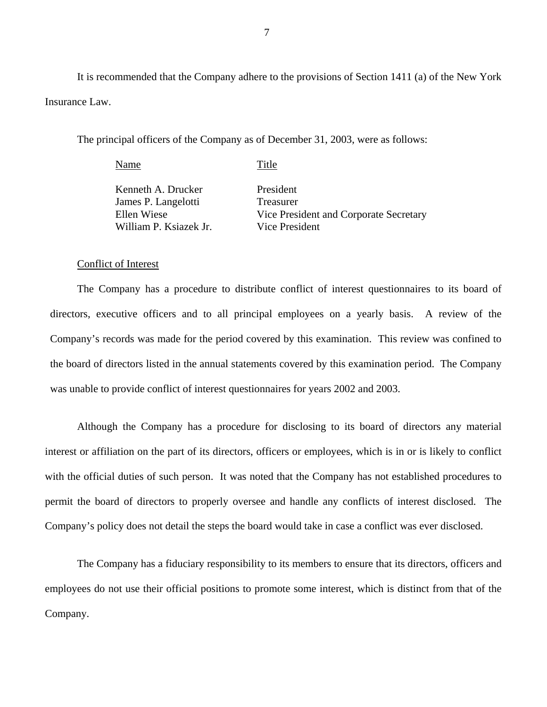It is recommended that the Company adhere to the provisions of Section 1411 (a) of the New York Insurance Law.

The principal officers of the Company as of December 31, 2003, were as follows:

Name Title Kenneth A. Drucker James P. Langelotti Ellen Wiese William P. Ksiazek Jr. President Treasurer Vice President and Corporate Secretary Vice President

#### Conflict of Interest

The Company has a procedure to distribute conflict of interest questionnaires to its board of directors, executive officers and to all principal employees on a yearly basis. A review of the Company's records was made for the period covered by this examination. This review was confined to the board of directors listed in the annual statements covered by this examination period. The Company was unable to provide conflict of interest questionnaires for years 2002 and 2003.

Although the Company has a procedure for disclosing to its board of directors any material interest or affiliation on the part of its directors, officers or employees, which is in or is likely to conflict with the official duties of such person. It was noted that the Company has not established procedures to permit the board of directors to properly oversee and handle any conflicts of interest disclosed. The Company's policy does not detail the steps the board would take in case a conflict was ever disclosed.

The Company has a fiduciary responsibility to its members to ensure that its directors, officers and employees do not use their official positions to promote some interest, which is distinct from that of the Company.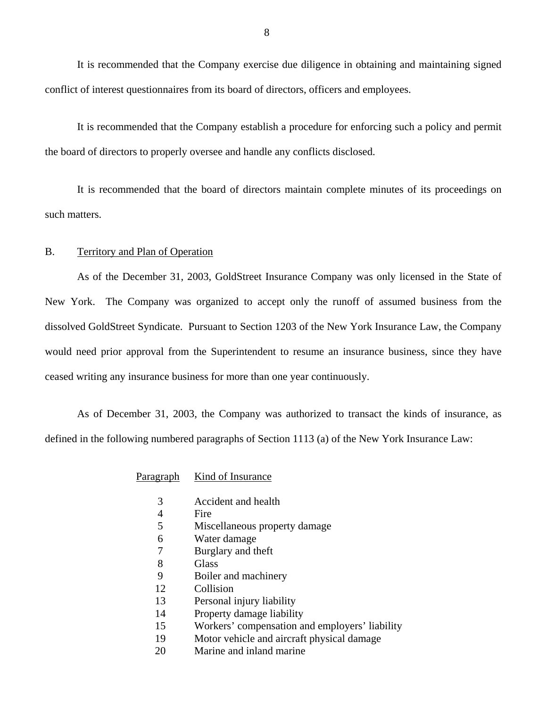<span id="page-9-0"></span>It is recommended that the Company exercise due diligence in obtaining and maintaining signed conflict of interest questionnaires from its board of directors, officers and employees.

It is recommended that the Company establish a procedure for enforcing such a policy and permit the board of directors to properly oversee and handle any conflicts disclosed.

It is recommended that the board of directors maintain complete minutes of its proceedings on such matters.

### B. Territory and Plan of Operation

As of the December 31, 2003, GoldStreet Insurance Company was only licensed in the State of New York. The Company was organized to accept only the runoff of assumed business from the dissolved GoldStreet Syndicate. Pursuant to Section 1203 of the New York Insurance Law, the Company would need prior approval from the Superintendent to resume an insurance business, since they have ceased writing any insurance business for more than one year continuously.

As of December 31, 2003, the Company was authorized to transact the kinds of insurance, as defined in the following numbered paragraphs of Section 1113 (a) of the New York Insurance Law:

#### Paragraph Kind of Insurance

- 3 Accident and health
- 4 Fire
- 5 Miscellaneous property damage
- 6 Water damage
- 7 Burglary and theft
- 8 Glass
- 9 Boiler and machinery
- 12 Collision
- 13 Personal injury liability
- 14 Property damage liability
- 15 Workers' compensation and employers' liability
- 19 Motor vehicle and aircraft physical damage
- 20 Marine and inland marine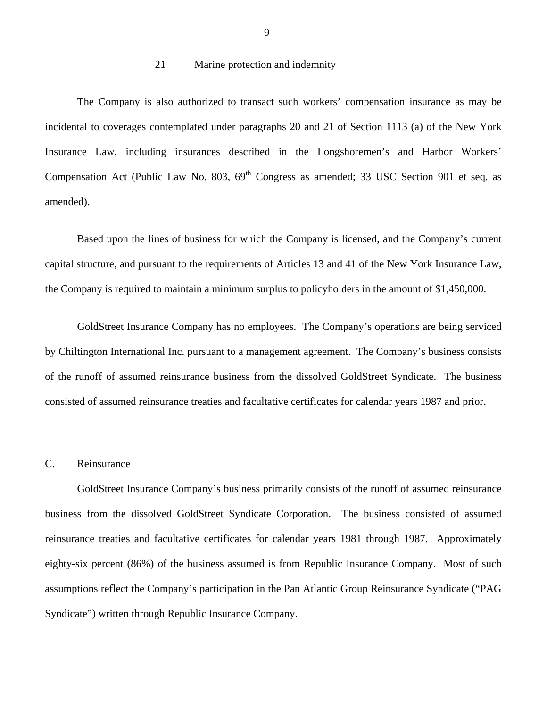#### 21 Marine protection and indemnity

<span id="page-10-0"></span>The Company is also authorized to transact such workers' compensation insurance as may be incidental to coverages contemplated under paragraphs 20 and 21 of Section 1113 (a) of the New York Insurance Law, including insurances described in the Longshoremen's and Harbor Workers' Compensation Act (Public Law No. 803,  $69<sup>th</sup>$  Congress as amended; 33 USC Section 901 et seq. as amended).

Based upon the lines of business for which the Company is licensed, and the Company's current capital structure, and pursuant to the requirements of Articles 13 and 41 of the New York Insurance Law, the Company is required to maintain a minimum surplus to policyholders in the amount of \$1,450,000.

GoldStreet Insurance Company has no employees. The Company's operations are being serviced by Chiltington International Inc. pursuant to a management agreement. The Company's business consists of the runoff of assumed reinsurance business from the dissolved GoldStreet Syndicate. The business consisted of assumed reinsurance treaties and facultative certificates for calendar years 1987 and prior.

#### C. Reinsurance

GoldStreet Insurance Company's business primarily consists of the runoff of assumed reinsurance business from the dissolved GoldStreet Syndicate Corporation. The business consisted of assumed reinsurance treaties and facultative certificates for calendar years 1981 through 1987. Approximately eighty-six percent (86%) of the business assumed is from Republic Insurance Company. Most of such assumptions reflect the Company's participation in the Pan Atlantic Group Reinsurance Syndicate ("PAG Syndicate") written through Republic Insurance Company.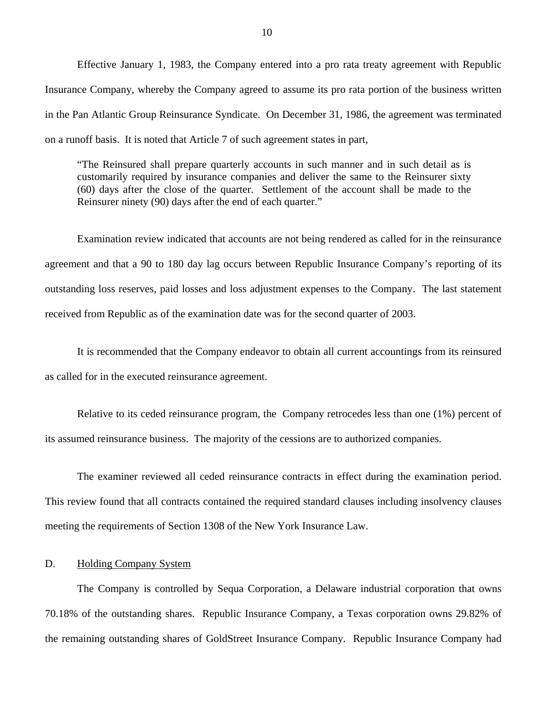<span id="page-11-0"></span>Effective January 1, 1983, the Company entered into a pro rata treaty agreement with Republic Insurance Company, whereby the Company agreed to assume its pro rata portion of the business written in the Pan Atlantic Group Reinsurance Syndicate. On December 31, 1986, the agreement was terminated on a runoff basis. It is noted that Article 7 of such agreement states in part,

"The Reinsured shall prepare quarterly accounts in such manner and in such detail as is customarily required by insurance companies and deliver the same to the Reinsurer sixty (60) days after the close of the quarter. Settlement of the account shall be made to the Reinsurer ninety (90) days after the end of each quarter."

Examination review indicated that accounts are not being rendered as called for in the reinsurance agreement and that a 90 to 180 day lag occurs between Republic Insurance Company's reporting of its outstanding loss reserves, paid losses and loss adjustment expenses to the Company. The last statement received from Republic as of the examination date was for the second quarter of 2003.

It is recommended that the Company endeavor to obtain all current accountings from its reinsured as called for in the executed reinsurance agreement.

Relative to its ceded reinsurance program, the Company retrocedes less than one (1%) percent of its assumed reinsurance business. The majority of the cessions are to authorized companies.

The examiner reviewed all ceded reinsurance contracts in effect during the examination period. This review found that all contracts contained the required standard clauses including insolvency clauses meeting the requirements of Section 1308 of the New York Insurance Law.

#### D. Holding Company System

The Company is controlled by Sequa Corporation, a Delaware industrial corporation that owns 70.18% of the outstanding shares. Republic Insurance Company, a Texas corporation owns 29.82% of the remaining outstanding shares of GoldStreet Insurance Company. Republic Insurance Company had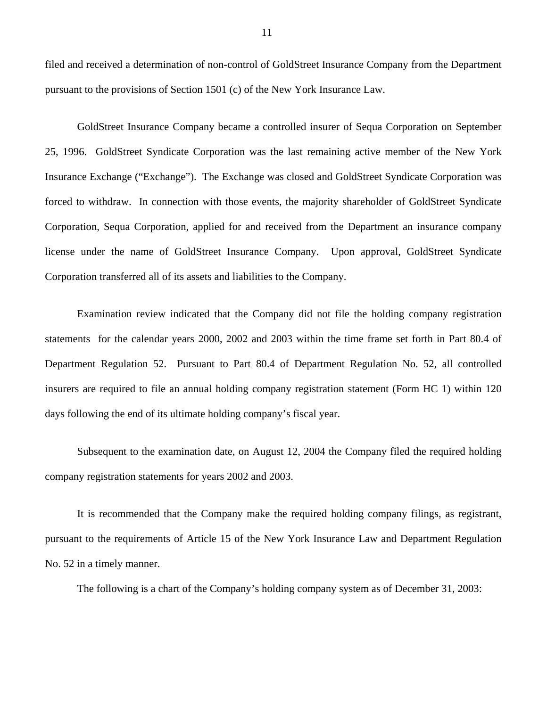filed and received a determination of non-control of GoldStreet Insurance Company from the Department pursuant to the provisions of Section 1501 (c) of the New York Insurance Law.

GoldStreet Insurance Company became a controlled insurer of Sequa Corporation on September 25, 1996. GoldStreet Syndicate Corporation was the last remaining active member of the New York Insurance Exchange ("Exchange"). The Exchange was closed and GoldStreet Syndicate Corporation was forced to withdraw. In connection with those events, the majority shareholder of GoldStreet Syndicate Corporation, Sequa Corporation, applied for and received from the Department an insurance company license under the name of GoldStreet Insurance Company. Upon approval, GoldStreet Syndicate Corporation transferred all of its assets and liabilities to the Company.

Examination review indicated that the Company did not file the holding company registration statements for the calendar years 2000, 2002 and 2003 within the time frame set forth in Part 80.4 of Department Regulation 52. Pursuant to Part 80.4 of Department Regulation No. 52, all controlled insurers are required to file an annual holding company registration statement (Form HC 1) within 120 days following the end of its ultimate holding company's fiscal year.

Subsequent to the examination date, on August 12, 2004 the Company filed the required holding company registration statements for years 2002 and 2003.

It is recommended that the Company make the required holding company filings, as registrant, pursuant to the requirements of Article 15 of the New York Insurance Law and Department Regulation No. 52 in a timely manner.

The following is a chart of the Company's holding company system as of December 31, 2003: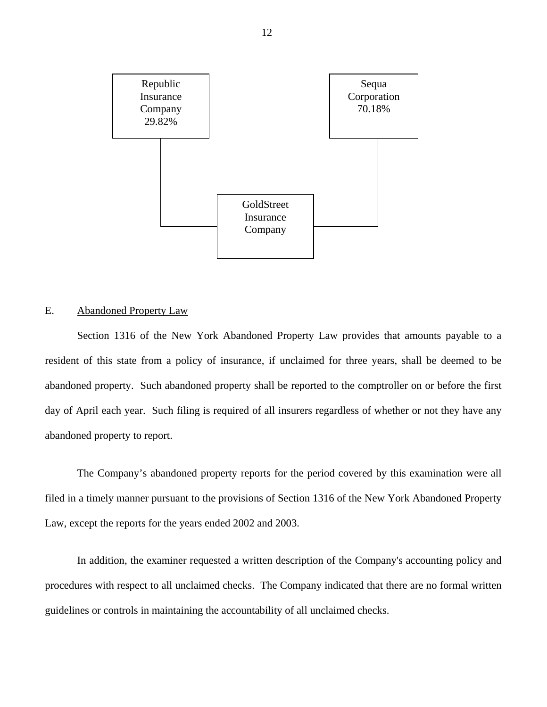<span id="page-13-0"></span>

## E. Abandoned Property Law

Section 1316 of the New York Abandoned Property Law provides that amounts payable to a resident of this state from a policy of insurance, if unclaimed for three years, shall be deemed to be abandoned property. Such abandoned property shall be reported to the comptroller on or before the first day of April each year. Such filing is required of all insurers regardless of whether or not they have any abandoned property to report.

The Company's abandoned property reports for the period covered by this examination were all filed in a timely manner pursuant to the provisions of Section 1316 of the New York Abandoned Property Law, except the reports for the years ended 2002 and 2003.

In addition, the examiner requested a written description of the Company's accounting policy and procedures with respect to all unclaimed checks. The Company indicated that there are no formal written guidelines or controls in maintaining the accountability of all unclaimed checks.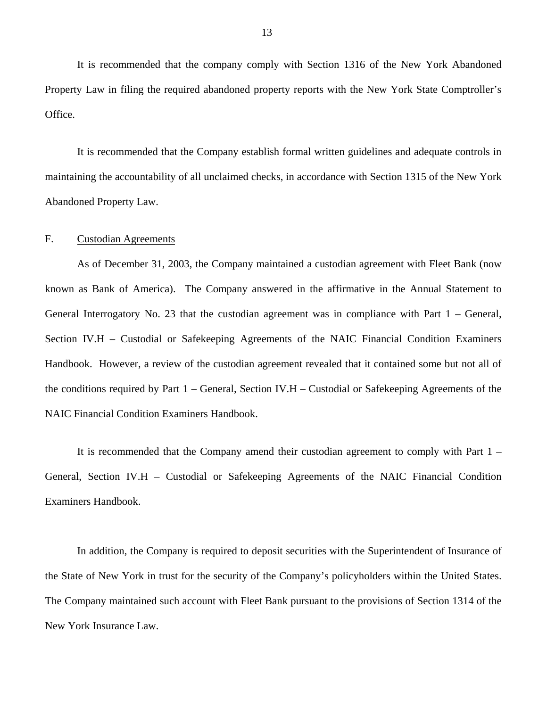<span id="page-14-0"></span>It is recommended that the company comply with Section 1316 of the New York Abandoned Property Law in filing the required abandoned property reports with the New York State Comptroller's Office.

It is recommended that the Company establish formal written guidelines and adequate controls in maintaining the accountability of all unclaimed checks, in accordance with Section 1315 of the New York Abandoned Property Law.

#### F. Custodian Agreements

As of December 31, 2003, the Company maintained a custodian agreement with Fleet Bank (now known as Bank of America). The Company answered in the affirmative in the Annual Statement to General Interrogatory No. 23 that the custodian agreement was in compliance with Part 1 – General, Section IV.H – Custodial or Safekeeping Agreements of the NAIC Financial Condition Examiners Handbook. However, a review of the custodian agreement revealed that it contained some but not all of the conditions required by Part 1 – General, Section IV.H – Custodial or Safekeeping Agreements of the NAIC Financial Condition Examiners Handbook.

It is recommended that the Company amend their custodian agreement to comply with Part 1 – General, Section IV.H – Custodial or Safekeeping Agreements of the NAIC Financial Condition Examiners Handbook.

In addition, the Company is required to deposit securities with the Superintendent of Insurance of the State of New York in trust for the security of the Company's policyholders within the United States. The Company maintained such account with Fleet Bank pursuant to the provisions of Section 1314 of the New York Insurance Law.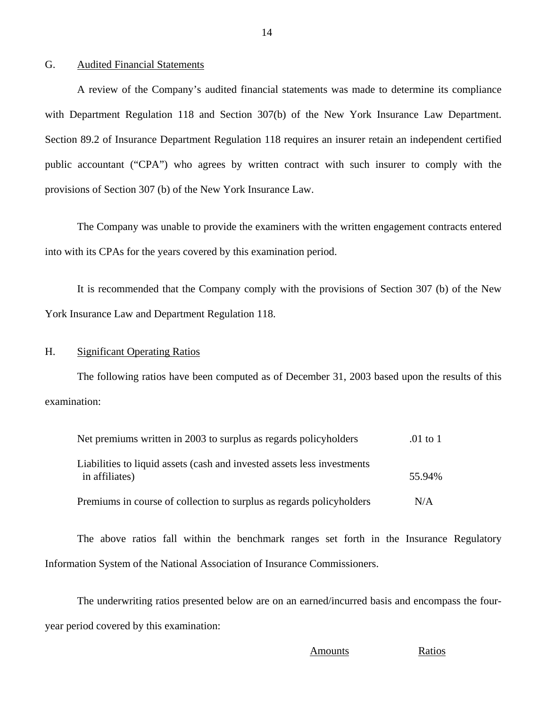#### <span id="page-15-0"></span>G. Audited Financial Statements

A review of the Company's audited financial statements was made to determine its compliance with Department Regulation 118 and Section 307(b) of the New York Insurance Law Department. Section 89.2 of Insurance Department Regulation 118 requires an insurer retain an independent certified public accountant ("CPA") who agrees by written contract with such insurer to comply with the provisions of Section 307 (b) of the New York Insurance Law.

The Company was unable to provide the examiners with the written engagement contracts entered into with its CPAs for the years covered by this examination period.

It is recommended that the Company comply with the provisions of Section 307 (b) of the New York Insurance Law and Department Regulation 118.

#### H. Significant Operating Ratios

The following ratios have been computed as of December 31, 2003 based upon the results of this examination:

| Net premiums written in 2003 to surplus as regards policyholders                          | $.01$ to 1 |
|-------------------------------------------------------------------------------------------|------------|
| Liabilities to liquid assets (cash and invested assets less investments<br>in affiliates) | 55.94%     |
| Premiums in course of collection to surplus as regards policyholders                      | N/A        |

The above ratios fall within the benchmark ranges set forth in the Insurance Regulatory Information System of the National Association of Insurance Commissioners.

The underwriting ratios presented below are on an earned/incurred basis and encompass the fouryear period covered by this examination:

**Amounts** Ratios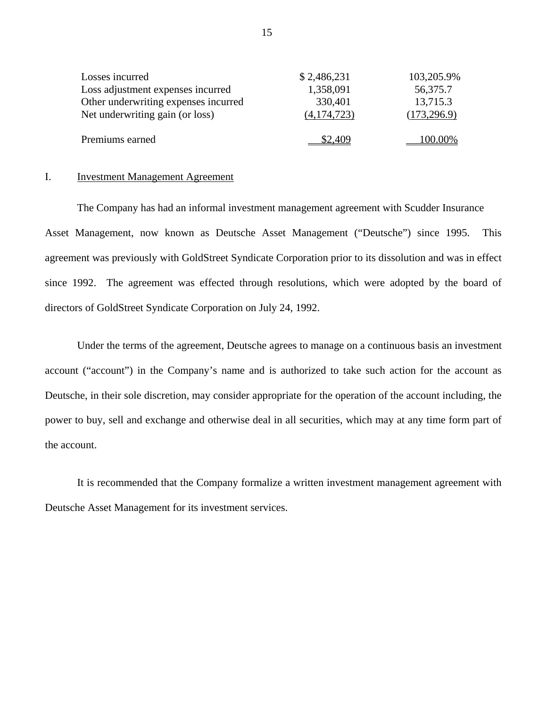| Losses incurred                      | \$2,486,231   | 103,205.9%   |
|--------------------------------------|---------------|--------------|
| Loss adjustment expenses incurred    | 1,358,091     | 56,375.7     |
| Other underwriting expenses incurred | 330,401       | 13,715.3     |
| Net underwriting gain (or loss)      | (4, 174, 723) | (173, 296.9) |
|                                      |               |              |
| Premiums earned                      | \$2,409       | 100.00%      |

#### I. Investment Management Agreement

The Company has had an informal investment management agreement with Scudder Insurance Asset Management, now known as Deutsche Asset Management ("Deutsche") since 1995. This agreement was previously with GoldStreet Syndicate Corporation prior to its dissolution and was in effect since 1992. The agreement was effected through resolutions, which were adopted by the board of directors of GoldStreet Syndicate Corporation on July 24, 1992.

Under the terms of the agreement, Deutsche agrees to manage on a continuous basis an investment account ("account") in the Company's name and is authorized to take such action for the account as Deutsche, in their sole discretion, may consider appropriate for the operation of the account including, the power to buy, sell and exchange and otherwise deal in all securities, which may at any time form part of the account.

It is recommended that the Company formalize a written investment management agreement with Deutsche Asset Management for its investment services.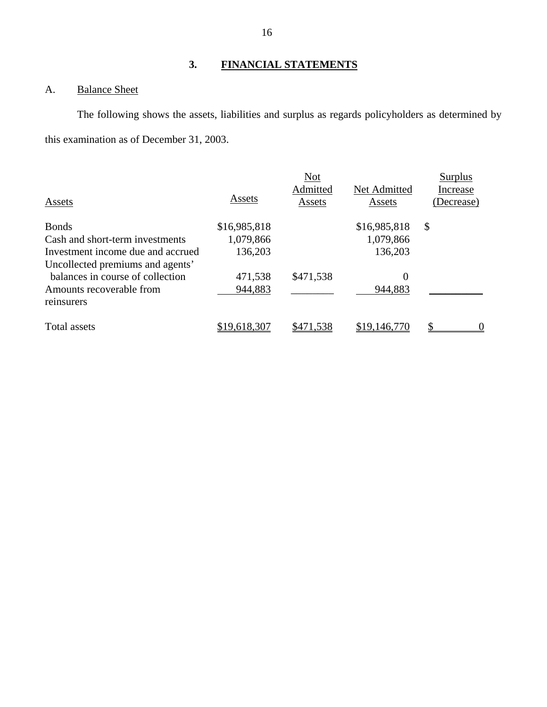## **3. FINANCIAL STATEMENTS**

## <span id="page-17-0"></span>A. Balance Sheet

The following shows the assets, liabilities and surplus as regards policyholders as determined by this examination as of December 31, 2003.

|                                   |              | <b>Not</b> |              | Surplus    |
|-----------------------------------|--------------|------------|--------------|------------|
|                                   |              | Admitted   | Net Admitted | Increase   |
| Assets                            | Assets       | Assets     | Assets       | (Decrease) |
| <b>Bonds</b>                      | \$16,985,818 |            | \$16,985,818 | \$         |
| Cash and short-term investments   | 1,079,866    |            | 1,079,866    |            |
| Investment income due and accrued | 136,203      |            | 136,203      |            |
| Uncollected premiums and agents'  |              |            |              |            |
| balances in course of collection  | 471,538      | \$471,538  | 0            |            |
| Amounts recoverable from          | 944,883      |            | 944,883      |            |
| reinsurers                        |              |            |              |            |
| Total assets                      | \$19,618,307 | \$471,538  | \$19,146,770 |            |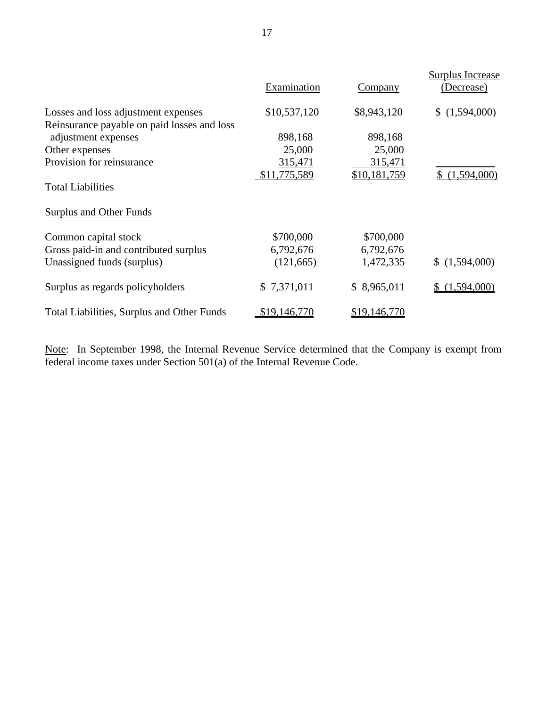|                                                                                                  |              |              | <b>Surplus Increase</b> |  |
|--------------------------------------------------------------------------------------------------|--------------|--------------|-------------------------|--|
|                                                                                                  | Examination  | Company      | (Decrease)              |  |
| Losses and loss adjustment expenses                                                              | \$10,537,120 | \$8,943,120  | (1,594,000)             |  |
| Reinsurance payable on paid losses and loss                                                      |              |              |                         |  |
| adjustment expenses                                                                              | 898,168      | 898,168      |                         |  |
| Other expenses                                                                                   | 25,000       | 25,000       |                         |  |
| Provision for reinsurance                                                                        | 315,471      | 315,471      |                         |  |
|                                                                                                  | \$11,775,589 | \$10,181,759 | \$(1,594,000)           |  |
| <b>Total Liabilities</b>                                                                         |              |              |                         |  |
| <b>Surplus and Other Funds</b>                                                                   |              |              |                         |  |
| Common capital stock                                                                             | \$700,000    | \$700,000    |                         |  |
| Gross paid-in and contributed surplus                                                            | 6,792,676    | 6,792,676    |                         |  |
| Unassigned funds (surplus)                                                                       | (121, 665)   | 1,472,335    | \$(1,594,000)           |  |
| Surplus as regards policyholders                                                                 | \$7,371,011  | \$8,965,011  | (1,594,000)             |  |
| Total Liabilities, Surplus and Other Funds                                                       | \$19,146,770 | \$19,146,770 |                         |  |
| Note: In September 1998, the Internal Revenue Service determined that the Company is exempt from |              |              |                         |  |

federal income taxes under Section 501(a) of the Internal Revenue Code.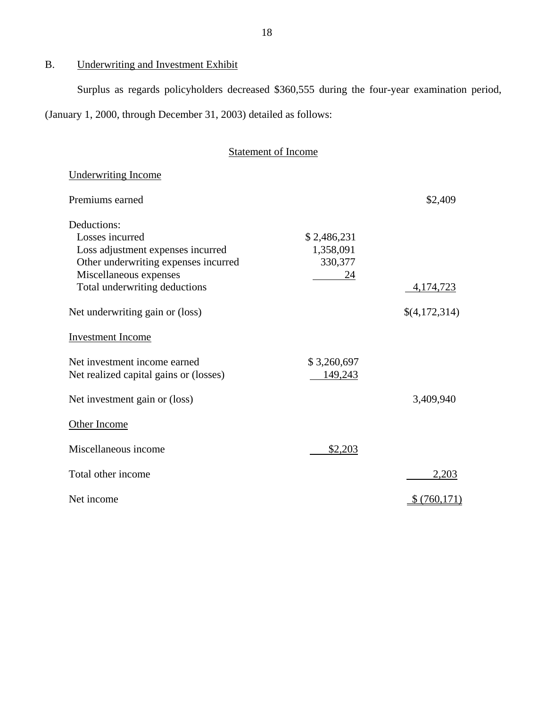B. Underwriting and Investment Exhibit

Surplus as regards policyholders decreased \$360,555 during the four-year examination period,

(January 1, 2000, through December 31, 2003) detailed as follows:

| <b>Statement of Income</b> |
|----------------------------|
|----------------------------|

| <b>Underwriting Income</b>             |                          |               |
|----------------------------------------|--------------------------|---------------|
| Premiums earned                        |                          | \$2,409       |
| Deductions:<br>Losses incurred         |                          |               |
| Loss adjustment expenses incurred      | \$2,486,231<br>1,358,091 |               |
| Other underwriting expenses incurred   | 330,377                  |               |
| Miscellaneous expenses                 | 24                       |               |
| Total underwriting deductions          |                          | 4,174,723     |
| Net underwriting gain or (loss)        |                          | \$(4,172,314) |
| <b>Investment Income</b>               |                          |               |
| Net investment income earned           | \$3,260,697              |               |
| Net realized capital gains or (losses) | 149,243                  |               |
| Net investment gain or (loss)          |                          | 3,409,940     |
| Other Income                           |                          |               |
| Miscellaneous income                   | \$2,203                  |               |
| Total other income                     |                          | 2,203         |
| Net income                             |                          | \$(760,171)   |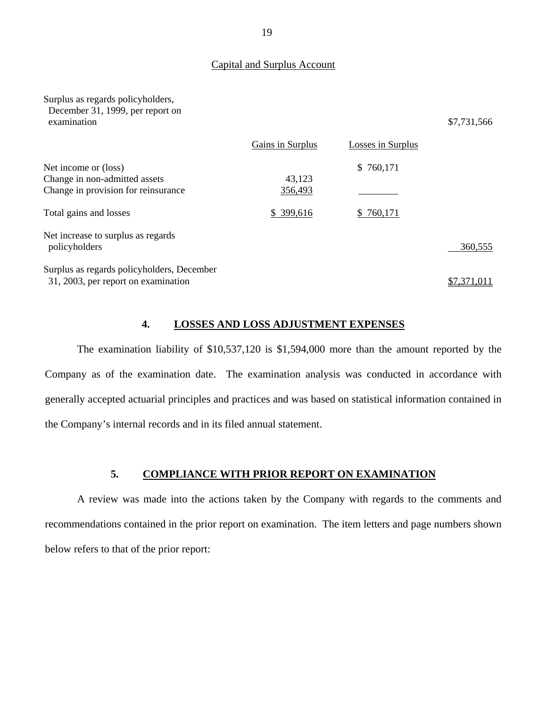#### Capital and Surplus Account

Surplus as regards policyholders, December 31, 1999, per report on

|                                                                                              | Gains in Surplus  | Losses in Surplus |             |
|----------------------------------------------------------------------------------------------|-------------------|-------------------|-------------|
| Net income or (loss)<br>Change in non-admitted assets<br>Change in provision for reinsurance | 43,123<br>356,493 | \$760,171         |             |
| Total gains and losses                                                                       | \$399,616         | \$760,171         |             |
| Net increase to surplus as regards<br>policyholders                                          |                   |                   | 360.555     |
| Surplus as regards policyholders, December<br>31, 2003, per report on examination            |                   |                   | \$7,371,011 |

#### **4. LOSSES AND LOSS ADJUSTMENT EXPENSES**

The examination liability of \$10,537,120 is \$1,594,000 more than the amount reported by the Company as of the examination date. The examination analysis was conducted in accordance with generally accepted actuarial principles and practices and was based on statistical information contained in the Company's internal records and in its filed annual statement.

#### **5. COMPLIANCE WITH PRIOR REPORT ON EXAMINATION**

A review was made into the actions taken by the Company with regards to the comments and recommendations contained in the prior report on examination. The item letters and page numbers shown below refers to that of the prior report:

examination  $$7,731,566$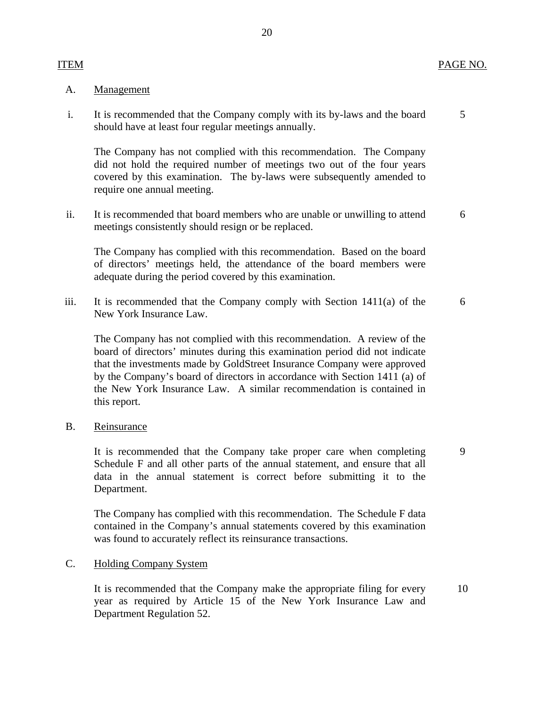### ITEM PAGE NO.

#### Management

**ITEM** 

A. <u>Management</u><br>i. It is recommended that the Company comply with its by-laws and the board 5 should have at least four regular meetings annually.

The Company has not complied with this recommendation. The Company did not hold the required number of meetings two out of the four years covered by this examination. The by-laws were subsequently amended to require one annual meeting.

ii. It is recommended that board members who are unable or unwilling to attend 6 meetings consistently should resign or be replaced.

The Company has complied with this recommendation. Based on the board of directors' meetings held, the attendance of the board members were adequate during the period covered by this examination.

iii. It is recommended that the Company comply with Section  $1411(a)$  of the 6 New York Insurance Law.

The Company has not complied with this recommendation. A review of the board of directors' minutes during this examination period did not indicate that the investments made by GoldStreet Insurance Company were approved by the Company's board of directors in accordance with Section 1411 (a) of the New York Insurance Law. A similar recommendation is contained in this report.

Reinsurance

B. Reinsurance<br>It is recommended that the Company take proper care when completing 9 Schedule F and all other parts of the annual statement, and ensure that all data in the annual statement is correct before submitting it to the Department.

The Company has complied with this recommendation. The Schedule F data contained in the Company's annual statements covered by this examination was found to accurately reflect its reinsurance transactions.

#### **Holding Company System**

C. Holding Company System<br>It is recommended that the Company make the appropriate filing for every 10 year as required by Article 15 of the New York Insurance Law and Department Regulation 52.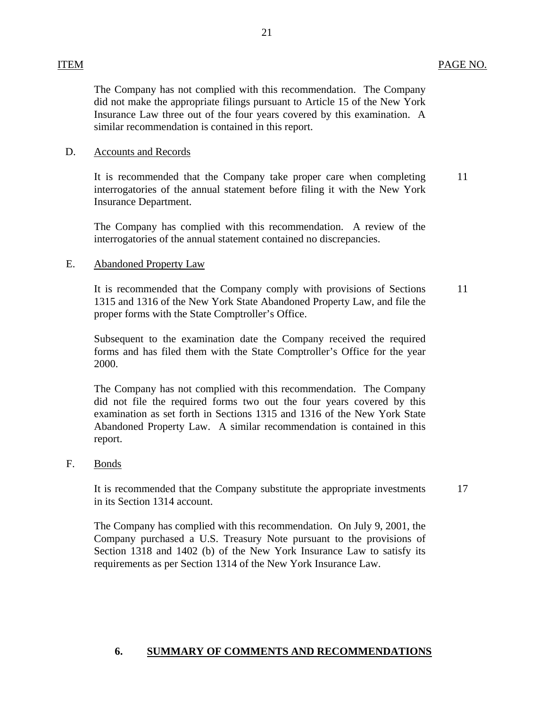#### **ITEM** ITEM PAGE NO.

The Company has not complied with this recommendation. The Company did not make the appropriate filings pursuant to Article 15 of the New York Insurance Law three out of the four years covered by this examination. A similar recommendation is contained in this report.

#### **Accounts and Records** D.

D. Accounts and Records<br>It is recommended that<br>interrogatories of the a<br>Insurance Department.<br>The Company has continuerrogatories of the and<br>E. Abandoned Property La It is recommended that the Company take proper care when completing interrogatories of the annual statement before filing it with the New York Insurance Department. 11

The Company has complied with this recommendation. A review of the interrogatories of the annual statement contained no discrepancies.

## **Abandoned Property Law**

It is recommended that the Company comply with provisions of Sections 1315 and 1316 of the New York State Abandoned Property Law, and file the proper forms with the State Comptroller's Office. 11

Subsequent to the examination date the Company received the required forms and has filed them with the State Comptroller's Office for the year 2000.

The Company has not complied with this recommendation. The Company did not file the required forms two out the four years covered by this examination as set forth in Sections 1315 and 1316 of the New York State Abandoned Property Law. A similar recommendation is contained in this report.

#### **Bonds** F.

It is recommended that the Company substitute the appropriate investments in its Section 1314 account.

17

The Company has complied with this recommendation. On July 9, 2001, the Company purchased a U.S. Treasury Note pursuant to the provisions of Section 1318 and 1402 (b) of the New York Insurance Law to satisfy its requirements as per Section 1314 of the New York Insurance Law.

## **6. SUMMARY OF COMMENTS AND RECOMMENDATIONS**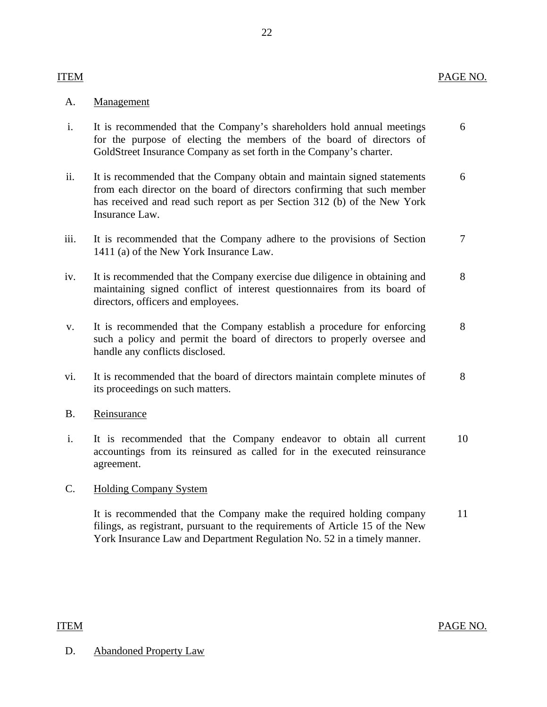## ITEM PAGE NO.

## **ITEM**

### Management

- A. <u>Management</u><br>i. It is recommended that the Company's shareholders hold annual meetings 6 for the purpose of electing the members of the board of directors of GoldStreet Insurance Company as set forth in the Company's charter.
- ii. It is recommended that the Company obtain and maintain signed statements 6 from each director on the board of directors confirming that such member has received and read such report as per Section 312 (b) of the New York Insurance Law.
- iii. It is recommended that the Company adhere to the provisions of Section 7 1411 (a) of the New York Insurance Law.
- iv. It is recommended that the Company exercise due diligence in obtaining and 8 maintaining signed conflict of interest questionnaires from its board of directors, officers and employees.
- v. It is recommended that the Company establish a procedure for enforcing 8 such a policy and permit the board of directors to properly oversee and handle any conflicts disclosed.
- vi. It is recommended that the board of directors maintain complete minutes of 8 its proceedings on such matters.
- Reinsurance
- B. <u>Reinsurance</u><br>i. It is recommended that the Company endeavor to obtain all current 10 accountings from its reinsured as called for in the executed reinsurance agreement.

#### **Holding Company System**

C. Holding Company System<br>It is recommended that the Company make the required holding company 11 filings, as registrant, pursuant to the requirements of Article 15 of the New York Insurance Law and Department Regulation No. 52 in a timely manner.

## **ITEM**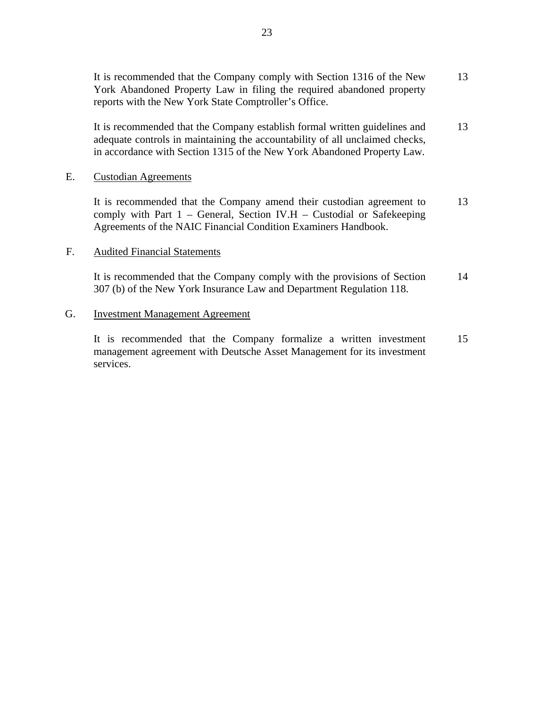It is recommended that the Company establish formal written guidelines and adequate controls in maintaining the accountability of all unclaimed checks, in accordance with Section 1315 of the New York Abandoned Property Law. 13

#### **Custodian Agreements**

E. Custodian Agreements<br>It is recommended that the Company amend their custodian agreement to comply with Part  $1$  – General, Section IV.H – Custodial or Safekeeping Agreements of the NAIC Financial Condition Examiners Handbook. 13

#### **Audited Financial Statements**

F. Audited Financial Statements<br>It is recommended that the Company comply with the provisions of Section 307 (b) of the New York Insurance Law and Department Regulation 118. 14

### **Investment Management Agreement**

G. Investment Management Agreement<br>It is recommended that the Company formalize a written investment management agreement with Deutsche Asset Management for its investment services. 15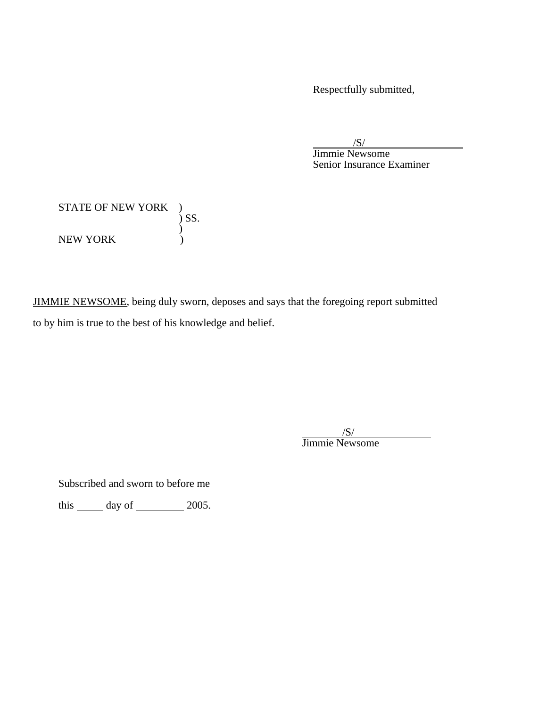Respectfully submitted,

 /S/ Jimmie Newsome Senior Insurance Examiner

| <b>STATE OF NEW YORK</b> |       |
|--------------------------|-------|
|                          | ) SS. |
| NEW YORK                 |       |

JIMMIE NEWSOME, being duly sworn, deposes and says that the foregoing report submitted to by him is true to the best of his knowledge and belief.

> /S/ Jimmie Newsome

Subscribed and sworn to before me

this  $\_\_\_\$  day of  $\_\_\_\_\$  2005.